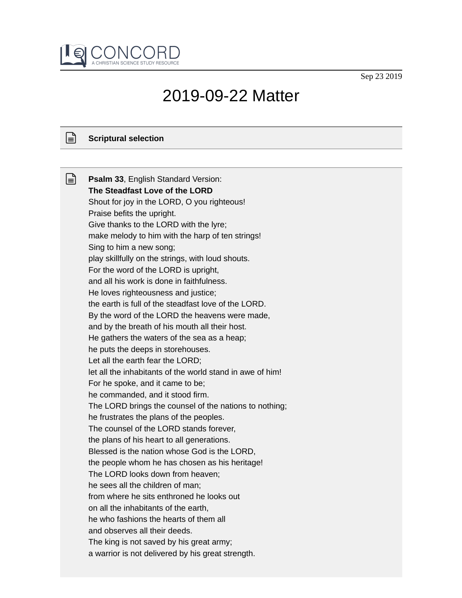Sep 23 2019



# 2019-09-22 Matter

## **Scriptural selection**

**Psalm 33**, English Standard Version: **The Steadfast Love of the LORD** Shout for joy in the LORD, O you righteous! Praise befits the upright. Give thanks to the LORD with the lyre; make melody to him with the harp of ten strings! Sing to him a new song; play skillfully on the strings, with loud shouts. For the word of the LORD is upright, and all his work is done in faithfulness. He loves righteousness and justice; the earth is full of the steadfast love of the LORD. By the word of the LORD the heavens were made, and by the breath of his mouth all their host. He gathers the waters of the sea as a heap; he puts the deeps in storehouses. Let all the earth fear the LORD; let all the inhabitants of the world stand in awe of him! For he spoke, and it came to be; he commanded, and it stood firm. The LORD brings the counsel of the nations to nothing; he frustrates the plans of the peoples. The counsel of the LORD stands forever, the plans of his heart to all generations. Blessed is the nation whose God is the LORD, the people whom he has chosen as his heritage! The LORD looks down from heaven; he sees all the children of man; from where he sits enthroned he looks out on all the inhabitants of the earth, he who fashions the hearts of them all and observes all their deeds. The king is not saved by his great army; a warrior is not delivered by his great strength. |≡ |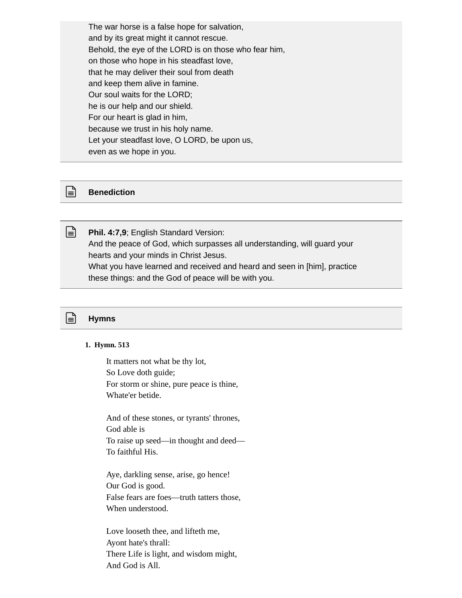The war horse is a false hope for salvation, and by its great might it cannot rescue. Behold, the eye of the LORD is on those who fear him, on those who hope in his steadfast love, that he may deliver their soul from death and keep them alive in famine. Our soul waits for the LORD; he is our help and our shield. For our heart is glad in him, because we trust in his holy name. Let your steadfast love, O LORD, be upon us, even as we hope in you.

## **Benediction**

**Phil. 4:7,9**; English Standard Version: And the peace of God, which surpasses all understanding, will guard your hearts and your minds in Christ Jesus. What you have learned and received and heard and seen in [him], practice these things: and the God of peace will be with you.

| <b>Hymns</b> |
|--------------|
|              |

 $\equiv$ 

#### **1. Hymn. 513**

It matters not what be thy lot, So Love doth guide; For storm or shine, pure peace is thine, Whate'er betide.

And of these stones, or tyrants' thrones, God able is To raise up seed—in thought and deed— To faithful His.

Aye, darkling sense, arise, go hence! Our God is good. False fears are foes—truth tatters those, When understood.

Love looseth thee, and lifteth me, Ayont hate's thrall: There Life is light, and wisdom might, And God is All.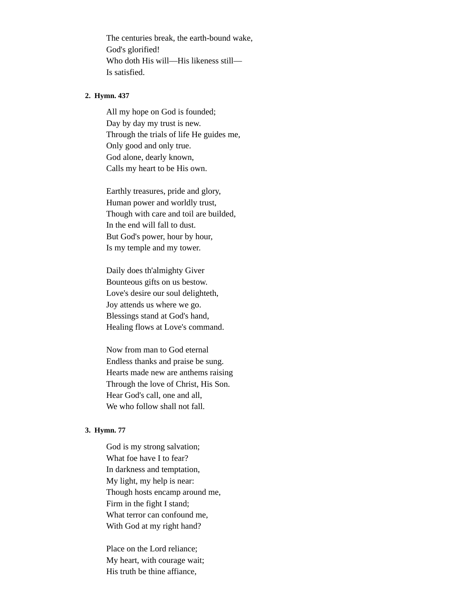The centuries break, the earth-bound wake, God's glorified! Who doth His will—His likeness still— Is satisfied.

#### **2. Hymn. 437**

All my hope on God is founded; Day by day my trust is new. Through the trials of life He guides me, Only good and only true. God alone, dearly known, Calls my heart to be His own.

Earthly treasures, pride and glory, Human power and worldly trust, Though with care and toil are builded, In the end will fall to dust. But God's power, hour by hour, Is my temple and my tower.

Daily does th'almighty Giver Bounteous gifts on us bestow. Love's desire our soul delighteth, Joy attends us where we go. Blessings stand at God's hand, Healing flows at Love's command.

Now from man to God eternal Endless thanks and praise be sung. Hearts made new are anthems raising Through the love of Christ, His Son. Hear God's call, one and all, We who follow shall not fall.

### **3. Hymn. 77**

God is my strong salvation; What foe have I to fear? In darkness and temptation, My light, my help is near: Though hosts encamp around me, Firm in the fight I stand; What terror can confound me, With God at my right hand?

Place on the Lord reliance; My heart, with courage wait; His truth be thine affiance,